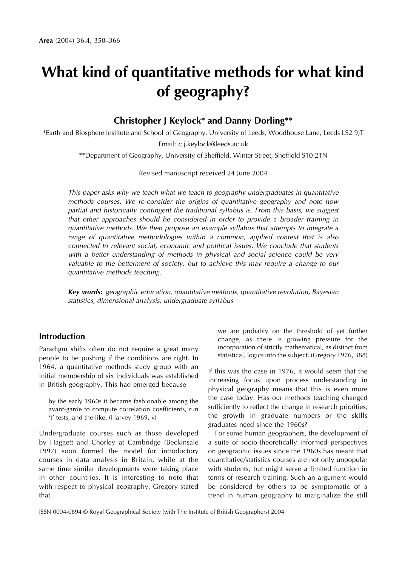# **What kind of quantitative methods for what kind of geography?**

# **Christopher J Keylock\* and Danny Dorling\*\***

\*Earth and Biosphere Institute and School of Geography, University of Leeds, Woodhouse Lane, Leeds LS2 9JT Email: c.j.keylock@leeds.ac.uk

\*\*Department of Geography, University of Sheffield, Winter Street, Sheffield S10 2TN

Revised manuscript received 24 June 2004

*This paper asks why we teach what we teach to geography undergraduates in quantitative methods courses. We re-consider the origins of quantitative geography and note how partial and historically contingent the traditional syllabus is. From this basis, we suggest that other approaches should be considered in order to provide a broader training in quantitative methods. We then propose an example syllabus that attempts to integrate a range of quantitative methodologies within a common, applied context that is also connected to relevant social, economic and political issues. We conclude that students with a better understanding of methods in physical and social science could be very valuable to the betterment of society, but to achieve this may require a change to our quantitative methods teaching.*

*Key words: geographic education, quantitative methods, quantitative revolution, Bayesian statistics, dimensional analysis, undergraduate syllabus* 

#### **Introduction**

Paradigm shifts often do not require a great many people to be pushing if the conditions are right. In 1964, a quantitative methods study group with an initial membership of six individuals was established in British geography. This had emerged because

by the early 1960s it became fashionable among the avant-garde to compute correlation coefficients, run 't' tests, and the like. (Harvey 1969, v)

Undergraduate courses such as those developed by Haggett and Chorley at Cambridge (Beckinsale 1997) soon formed the model for introductory courses in data analysis in Britain, while at the same time similar developments were taking place in other countries. It is interesting to note that with respect to physical geography, Gregory stated that

we are probably on the threshold of yet further change, as there is growing pressure for the incorporation of strictly mathematical, as distinct from statistical, logics into the subject. (Gregory 1976, 388)

If this was the case in 1976, it would seem that the increasing focus upon process understanding in physical geography means that this is even more the case today. Has our methods teaching changed sufficiently to reflect the change in research priorities, the growth in graduate numbers or the skills graduates need since the 1960s?

For some human geographers, the development of a suite of socio-theoretically informed perspectives on geographic issues since the 1960s has meant that quantitative/statistics courses are not only unpopular with students, but might serve a limited function in terms of research training. Such an argument would be considered by others to be symptomatic of a trend in human geography to marginalize the still

ISSN 0004-0894 © Royal Geographical Society (with The Institute of British Geographers) 2004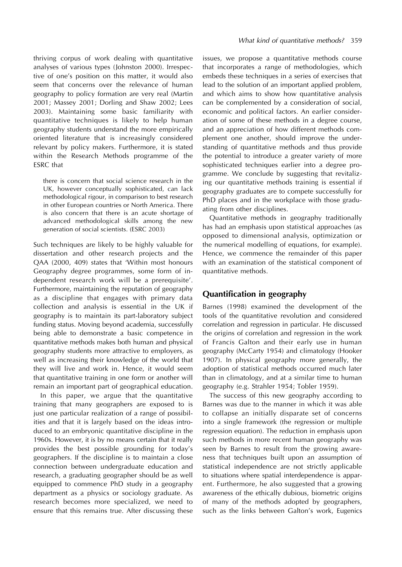thriving corpus of work dealing with quantitative analyses of various types (Johnston 2000). Irrespective of one's position on this matter, it would also seem that concerns over the relevance of human geography to policy formation are very real (Martin 2001; Massey 2001; Dorling and Shaw 2002; Lees 2003). Maintaining some basic familiarity with quantitative techniques is likely to help human geography students understand the more empirically oriented literature that is increasingly considered relevant by policy makers. Furthermore, it is stated within the Research Methods programme of the ESRC that

there is concern that social science research in the UK, however conceptually sophisticated, can lack methodological rigour, in comparison to best research in other European countries or North America. There is also concern that there is an acute shortage of advanced methodological skills among the new generation of social scientists. (ESRC 2003)

Such techniques are likely to be highly valuable for dissertation and other research projects and the QAA (2000, 409) states that 'Within most honours Geography degree programmes, some form of independent research work will be a prerequisite'. Furthermore, maintaining the reputation of geography as a discipline that engages with primary data collection and analysis is essential in the UK if geography is to maintain its part-laboratory subject funding status. Moving beyond academia, successfully being able to demonstrate a basic competence in quantitative methods makes both human and physical geography students more attractive to employers, as well as increasing their knowledge of the world that they will live and work in. Hence, it would seem that quantitative training in one form or another will remain an important part of geographical education.

In this paper, we argue that the quantitative training that many geographers are exposed to is just one particular realization of a range of possibilities and that it is largely based on the ideas introduced to an embryonic quantitative discipline in the 1960s. However, it is by no means certain that it really provides the best possible grounding for today's geographers. If the discipline is to maintain a close connection between undergraduate education and research, a graduating geographer should be as well equipped to commence PhD study in a geography department as a physics or sociology graduate. As research becomes more specialized, we need to ensure that this remains true. After discussing these

issues, we propose a quantitative methods course that incorporates a range of methodologies, which embeds these techniques in a series of exercises that lead to the solution of an important applied problem, and which aims to show how quantitative analysis can be complemented by a consideration of social, economic and political factors. An earlier consideration of some of these methods in a degree course, and an appreciation of how different methods complement one another, should improve the understanding of quantitative methods and thus provide the potential to introduce a greater variety of more sophisticated techniques earlier into a degree programme. We conclude by suggesting that revitalizing our quantitative methods training is essential if geography graduates are to compete successfully for PhD places and in the workplace with those graduating from other disciplines.

Quantitative methods in geography traditionally has had an emphasis upon statistical approaches (as opposed to dimensional analysis, optimization or the numerical modelling of equations, for example). Hence, we commence the remainder of this paper with an examination of the statistical component of quantitative methods.

### **Quantification in geography**

Barnes (1998) examined the development of the tools of the quantitative revolution and considered correlation and regression in particular. He discussed the origins of correlation and regression in the work of Francis Galton and their early use in human geography (McCarty 1954) and climatology (Hooker 1907). In physical geography more generally, the adoption of statistical methods occurred much later than in climatology, and at a similar time to human geography (e.g. Strahler 1954; Tobler 1959).

The success of this new geography according to Barnes was due to the manner in which it was able to collapse an initially disparate set of concerns into a single framework (the regression or multiple regression equation). The reduction in emphasis upon such methods in more recent human geography was seen by Barnes to result from the growing awareness that techniques built upon an assumption of statistical independence are not strictly applicable to situations where spatial interdependence is apparent. Furthermore, he also suggested that a growing awareness of the ethically dubious, biometric origins of many of the methods adopted by geographers, such as the links between Galton's work, Eugenics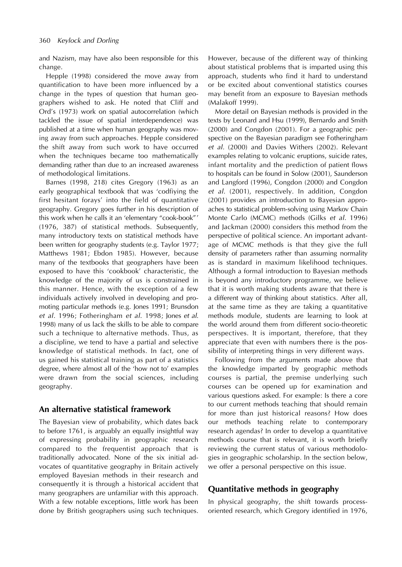and Nazism, may have also been responsible for this change.

Hepple (1998) considered the move away from quantification to have been more influenced by a change in the types of question that human geographers wished to ask. He noted that Cliff and Ord's (1973) work on spatial autocorrelation (which tackled the issue of spatial interdependence) was published at a time when human geography was moving away from such approaches. Hepple considered the shift away from such work to have occurred when the techniques became too mathematically demanding rather than due to an increased awareness of methodological limitations.

Barnes (1998, 218) cites Gregory (1963) as an early geographical textbook that was 'codfiying the first hesitant forays' into the field of quantitative geography. Gregory goes further in his description of this work when he calls it an 'elementary "cook-book"' (1976, 387) of statistical methods. Subsequently, many introductory texts on statistical methods have been written for geography students (e.g. Taylor 1977; Matthews 1981; Ebdon 1985). However, because many of the textbooks that geographers have been exposed to have this 'cookbook' characteristic, the knowledge of the majority of us is constrained in this manner. Hence, with the exception of a few individuals actively involved in developing and promoting particular methods (e.g. Jones 1991; Brunsdon *et al.* 1996; Fotheringham *et al*. 1998; Jones *et al*. 1998) many of us lack the skills to be able to compare such a technique to alternative methods. Thus, as a discipline, we tend to have a partial and selective knowledge of statistical methods. In fact, one of us gained his statistical training as part of a statistics degree, where almost all of the 'how not to' examples were drawn from the social sciences, including geography.

#### **An alternative statistical framework**

The Bayesian view of probability, which dates back to before 1761, is arguably an equally insightful way of expressing probability in geographic research compared to the frequentist approach that is traditionally advocated. None of the six initial advocates of quantitative geography in Britain actively employed Bayesian methods in their research and consequently it is through a historical accident that many geographers are unfamiliar with this approach. With a few notable exceptions, little work has been done by British geographers using such techniques.

However, because of the different way of thinking about statistical problems that is imparted using this approach, students who find it hard to understand or be excited about conventional statistics courses may benefit from an exposure to Bayesian methods (Malakoff 1999).

More detail on Bayesian methods is provided in the texts by Leonard and Hsu (1999), Bernardo and Smith (2000) and Congdon (2001). For a geographic perspective on the Bayesian paradigm see Fotheringham *et al.* (2000) and Davies Withers (2002). Relevant examples relating to volcanic eruptions, suicide rates, infant mortality and the prediction of patient flows to hospitals can be found in Solow (2001), Saunderson and Langford (1996), Congdon (2000) and Congdon *et al.* (2001), respectively. In addition, Congdon (2001) provides an introduction to Bayesian approaches to statistical problem-solving using Markov Chain Monte Carlo (MCMC) methods (Gilks *et al.* 1996) and Jackman (2000) considers this method from the perspective of political science. An important advantage of MCMC methods is that they give the full density of parameters rather than assuming normality as is standard in maximum likelihood techniques. Although a formal introduction to Bayesian methods is beyond any introductory programme, we believe that it is worth making students aware that there is a different way of thinking about statistics. After all, at the same time as they are taking a quantitative methods module, students are learning to look at the world around them from different socio-theoretic perspectives. It is important, therefore, that they appreciate that even with numbers there is the possibility of interpreting things in very different ways.

Following from the arguments made above that the knowledge imparted by geographic methods courses is partial, the premise underlying such courses can be opened up for examination and various questions asked. For example: Is there a core to our current methods teaching that should remain for more than just historical reasons? How does our methods teaching relate to contemporary research agendas? In order to develop a quantitative methods course that is relevant, it is worth briefly reviewing the current status of various methodologies in geographic scholarship. In the section below, we offer a personal perspective on this issue.

#### **Quantitative methods in geography**

In physical geography, the shift towards processoriented research, which Gregory identified in 1976,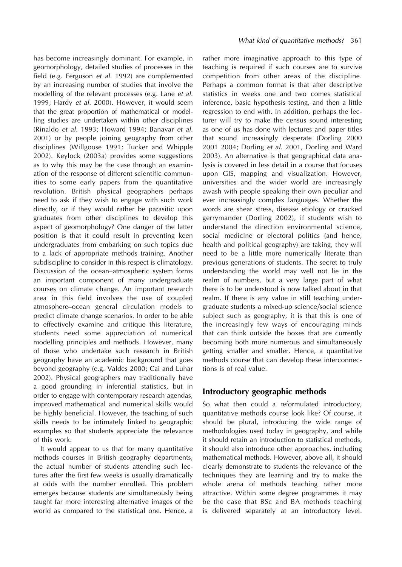has become increasingly dominant. For example, in geomorphology, detailed studies of processes in the field (e.g. Ferguson *et al.* 1992) are complemented rather more imaginative approach to this type of

by an increasing number of studies that involve the modelling of the relevant processes (e.g. Lane *et al*. 1999; Hardy *et al*. 2000). However, it would seem that the great proportion of mathematical or modelling studies are undertaken within other disciplines (Rinaldo *et al*. 1993; Howard 1994; Banavar *et al*. 2001) or by people joining geography from other disciplines (Willgoose 1991; Tucker and Whipple 2002). Keylock (2003a) provides some suggestions as to why this may be the case through an examination of the response of different scientific communities to some early papers from the quantitative revolution. British physical geographers perhaps need to ask if they wish to engage with such work directly, or if they would rather be parasitic upon graduates from other disciplines to develop this aspect of geomorphology? One danger of the latter position is that it could result in preventing keen undergraduates from embarking on such topics due to a lack of appropriate methods training. Another subdiscipline to consider in this respect is climatology. Discussion of the ocean–atmospheric system forms an important component of many undergraduate courses on climate change. An important research area in this field involves the use of coupled atmosphere–ocean general circulation models to predict climate change scenarios. In order to be able to effectively examine and critique this literature, students need some appreciation of numerical modelling principles and methods. However, many of those who undertake such research in British geography have an academic background that goes beyond geography (e.g. Valdes 2000; Cai and Luhar 2002). Physical geographers may traditionally have a good grounding in inferential statistics, but in order to engage with contemporary research agendas, improved mathematical and numerical skills would be highly beneficial. However, the teaching of such skills needs to be intimately linked to geographic examples so that students appreciate the relevance of this work.

It would appear to us that for many quantitative methods courses in British geography departments, the actual number of students attending such lectures after the first few weeks is usually dramatically at odds with the number enrolled. This problem emerges because students are simultaneously being taught far more interesting alternative images of the world as compared to the statistical one. Hence, a teaching is required if such courses are to survive competition from other areas of the discipline. Perhaps a common format is that after descriptive statistics in weeks one and two comes statistical inference, basic hypothesis testing, and then a little regression to end with. In addition, perhaps the lecturer will try to make the census sound interesting as one of us has done with lectures and paper titles that sound increasingly desperate (Dorling 2000 2001 2004; Dorling *et al*. 2001, Dorling and Ward 2003). An alternative is that geographical data analysis is covered in less detail in a course that focuses upon GIS, mapping and visualization. However, universities and the wider world are increasingly awash with people speaking their own peculiar and ever increasingly complex languages. Whether the words are shear stress, disease etiology or cracked gerrymander (Dorling 2002), if students wish to understand the direction environmental science, social medicine or electoral politics (and hence, health and political geography) are taking, they will need to be a little more numerically literate than previous generations of students. The secret to truly understanding the world may well not lie in the realm of numbers, but a very large part of what there is to be understood is now talked about in that realm. If there is any value in still teaching undergraduate students a mixed-up science/social science subject such as geography, it is that this is one of the increasingly few ways of encouraging minds that can think outside the boxes that are currently becoming both more numerous and simultaneously getting smaller and smaller. Hence, a quantitative methods course that can develop these interconnections is of real value.

## **Introductory geographic methods**

So what then could a reformulated introductory, quantitative methods course look like? Of course, it should be plural, introducing the wide range of methodologies used today in geography, and while it should retain an introduction to statistical methods, it should also introduce other approaches, including mathematical methods. However, above all, it should clearly demonstrate to students the relevance of the techniques they are learning and try to make the whole arena of methods teaching rather more attractive. Within some degree programmes it may be the case that BSc and BA methods teaching is delivered separately at an introductory level.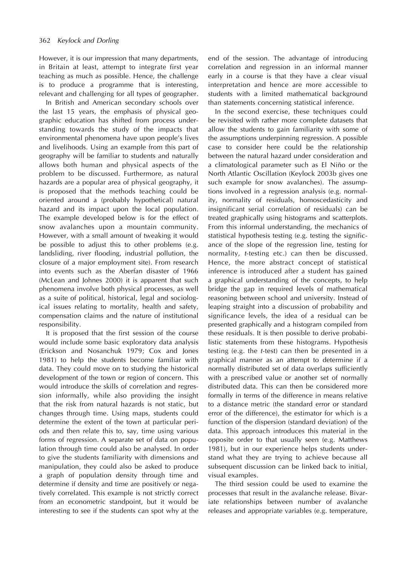However, it is our impression that many departments, in Britain at least, attempt to integrate first year teaching as much as possible. Hence, the challenge is to produce a programme that is interesting, relevant and challenging for all types of geographer.

In British and American secondary schools over the last 15 years, the emphasis of physical geographic education has shifted from process understanding towards the study of the impacts that environmental phenomena have upon people's lives and livelihoods. Using an example from this part of geography will be familiar to students and naturally allows both human and physical aspects of the problem to be discussed. Furthermore, as natural hazards are a popular area of physical geography, it is proposed that the methods teaching could be oriented around a (probably hypothetical) natural hazard and its impact upon the local population. The example developed below is for the effect of snow avalanches upon a mountain community. However, with a small amount of tweaking it would be possible to adjust this to other problems (e.g. landsliding, river flooding, industrial pollution, the closure of a major employment site). From research into events such as the Aberfan disaster of 1966 (McLean and Johnes 2000) it is apparent that such phenomena involve both physical processes, as well as a suite of political, historical, legal and sociological issues relating to mortality, health and safety, compensation claims and the nature of institutional responsibility.

It is proposed that the first session of the course would include some basic exploratory data analysis (Erickson and Nosanchuk 1979; Cox and Jones 1981) to help the students become familiar with data. They could move on to studying the historical development of the town or region of concern. This would introduce the skills of correlation and regression informally, while also providing the insight that the risk from natural hazards is not static, but changes through time. Using maps, students could determine the extent of the town at particular periods and then relate this to, say, time using various forms of regression. A separate set of data on population through time could also be analysed. In order to give the students familiarity with dimensions and manipulation, they could also be asked to produce a graph of population density through time and determine if density and time are positively or negatively correlated. This example is not strictly correct from an econometric standpoint, but it would be interesting to see if the students can spot why at the

end of the session. The advantage of introducing correlation and regression in an informal manner early in a course is that they have a clear visual interpretation and hence are more accessible to students with a limited mathematical background than statements concerning statistical inference.

In the second exercise, these techniques could be revisited with rather more complete datasets that allow the students to gain familiarity with some of the assumptions underpinning regression. A possible case to consider here could be the relationship between the natural hazard under consideration and a climatological parameter such as El Niño or the North Atlantic Oscillation (Keylock 2003b gives one such example for snow avalanches). The assumptions involved in a regression analysis (e.g. normality, normality of residuals, homoscedasticity and insignificant serial correlation of residuals) can be treated graphically using histograms and scatterplots. From this informal understanding, the mechanics of statistical hypothesis testing (e.g. testing the significance of the slope of the regression line, testing for normality, *t*-testing etc.) can then be discussed. Hence, the more abstract concept of statistical inference is introduced after a student has gained a graphical understanding of the concepts, to help bridge the gap in required levels of mathematical reasoning between school and university. Instead of leaping straight into a discussion of probability and significance levels, the idea of a residual can be presented graphically and a histogram compiled from these residuals. It is then possible to derive probabilistic statements from these histograms. Hypothesis testing (e.g. the *t*-test) can then be presented in a graphical manner as an attempt to determine if a normally distributed set of data overlaps sufficiently with a prescribed value or another set of normally distributed data. This can then be considered more formally in terms of the difference in means relative to a distance metric (the standard error or standard error of the difference), the estimator for which is a function of the dispersion (standard deviation) of the data. This approach introduces this material in the opposite order to that usually seen (e.g. Matthews 1981), but in our experience helps students understand what they are trying to achieve because all subsequent discussion can be linked back to initial, visual examples.

The third session could be used to examine the processes that result in the avalanche release. Bivariate relationships between number of avalanche releases and appropriate variables (e.g. temperature,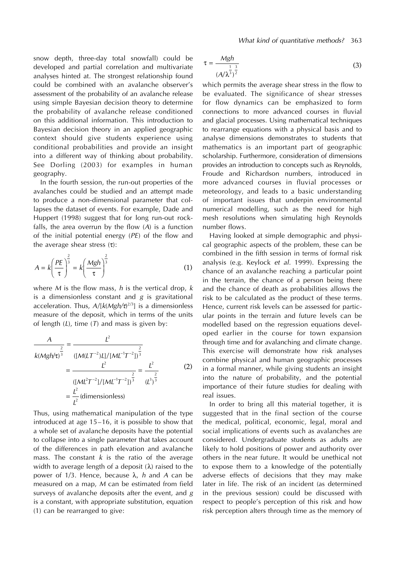snow depth, three-day total snowfall) could be developed and partial correlation and multivariate analyses hinted at. The strongest relationship found could be combined with an avalanche observer's assessment of the probability of an avalanche release using simple Bayesian decision theory to determine the probability of avalanche release conditioned on this additional information. This introduction to Bayesian decision theory in an applied geographic context should give students experience using conditional probabilities and provide an insight into a different way of thinking about probability. See Dorling (2003) for examples in human geography.

In the fourth session, the run-out properties of the avalanches could be studied and an attempt made to produce a non-dimensional parameter that collapses the dataset of events. For example, Dade and Huppert (1998) suggest that for long run-out rockfalls, the area overrun by the flow (*A*) is a function of the initial potential energy (*PE*) of the flow and the average shear stress  $(\tau)$ :

$$
A = k \left(\frac{PE}{\tau}\right)^{\frac{2}{3}} = k \left(\frac{Mgh}{\tau}\right)^{\frac{2}{3}}
$$
 (1)

where *M* is the flow mass, *h* is the vertical drop, *k* is a dimensionless constant and *g* is gravitational acceleration. Thus, *A*/[*k*(*Mgh/*τ) 2/3] is a dimensionless measure of the deposit, which in terms of the units of length (*L*), time (*T*) and mass is given by:

$$
\frac{A}{k(Mgh/\tau)^{\frac{2}{3}}} = \frac{L^2}{((M(LT^{-2})L)/(ML^{-1}T^{-2}))^{\frac{2}{3}}}
$$
  
= 
$$
\frac{L^2}{((ML^2T^{-2})/(ML^{-1}T^{-2}))^{\frac{2}{3}}} = \frac{L^2}{(L^3)^{\frac{2}{3}}}
$$
(2)  
= 
$$
\frac{L^2}{L^2}
$$
(dimensionless)

Thus, using mathematical manipulation of the type introduced at age 15–16, it is possible to show that a whole set of avalanche deposits have the potential to collapse into a single parameter that takes account of the differences in path elevation and avalanche mass. The constant  $k$  is the ratio of the average width to average length of a deposit  $(\lambda)$  raised to the power of 1/3. Hence, because λ, *h* and *A* can be measured on a map, *M* can be estimated from field surveys of avalanche deposits after the event, and *g* is a constant, with appropriate substitution, equation (1) can be rearranged to give:

$$
\tau = \frac{Mgh}{\left(\frac{1}{(\lambda/\lambda)^3}\right)^{\frac{3}{2}}} \tag{3}
$$

which permits the average shear stress in the flow to be evaluated. The significance of shear stresses for flow dynamics can be emphasized to form connections to more advanced courses in fluvial and glacial processes. Using mathematical techniques to rearrange equations with a physical basis and to analyse dimensions demonstrates to students that mathematics is an important part of geographic scholarship. Furthermore, consideration of dimensions provides an introduction to concepts such as Reynolds, Froude and Richardson numbers, introduced in more advanced courses in fluvial processes or meteorology, and leads to a basic understanding of important issues that underpin environmental numerical modelling, such as the need for high mesh resolutions when simulating high Reynolds number flows.

Having looked at simple demographic and physical geographic aspects of the problem, these can be combined in the fifth session in terms of formal risk analysis (e.g. Keylock *et al.* 1999). Expressing the chance of an avalanche reaching a particular point in the terrain, the chance of a person being there and the chance of death as probabilities allows the risk to be calculated as the product of these terms. Hence, current risk levels can be assessed for particular points in the terrain and future levels can be modelled based on the regression equations developed earlier in the course for town expansion through time and for avalanching and climate change. This exercise will demonstrate how risk analyses combine physical and human geographic processes in a formal manner, while giving students an insight into the nature of probability, and the potential importance of their future studies for dealing with real issues.

In order to bring all this material together, it is suggested that in the final section of the course the medical, political, economic, legal, moral and social implications of events such as avalanches are considered. Undergraduate students as adults are likely to hold positions of power and authority over others in the near future. It would be unethical not to expose them to a knowledge of the potentially adverse effects of decisions that they may make later in life. The risk of an incident (as determined in the previous session) could be discussed with respect to people's perception of this risk and how risk perception alters through time as the memory of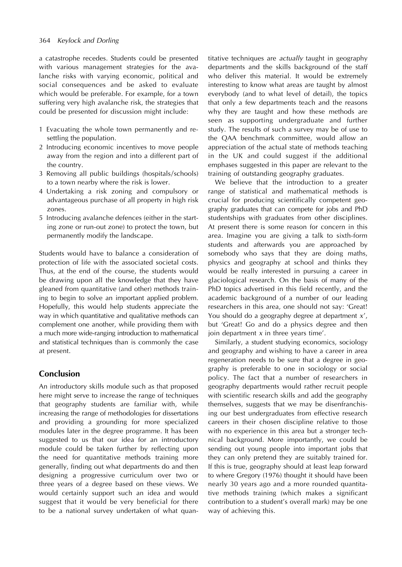a catastrophe recedes. Students could be presented with various management strategies for the avalanche risks with varying economic, political and social consequences and be asked to evaluate which would be preferable. For example, for a town suffering very high avalanche risk, the strategies that could be presented for discussion might include:

- 1 Evacuating the whole town permanently and resettling the population.
- 2 Introducing economic incentives to move people away from the region and into a different part of the country.
- 3 Removing all public buildings (hospitals/schools) to a town nearby where the risk is lower.
- 4 Undertaking a risk zoning and compulsory or advantageous purchase of all property in high risk zones.
- 5 Introducing avalanche defences (either in the starting zone or run-out zone) to protect the town, but permanently modify the landscape.

Students would have to balance a consideration of protection of life with the associated societal costs. Thus, at the end of the course, the students would be drawing upon all the knowledge that they have gleaned from quantitative (and other) methods training to begin to solve an important applied problem. Hopefully, this would help students appreciate the way in which quantitative and qualitative methods can complement one another, while providing them with a much more wide-ranging introduction to mathematical and statistical techniques than is commonly the case at present.

## **Conclusion**

An introductory skills module such as that proposed here might serve to increase the range of techniques that geography students are familiar with, while increasing the range of methodologies for dissertations and providing a grounding for more specialized modules later in the degree programme. It has been suggested to us that our idea for an introductory module could be taken further by reflecting upon the need for quantitative methods training more generally, finding out what departments do and then designing a progressive curriculum over two or three years of a degree based on these views. We would certainly support such an idea and would suggest that it would be very beneficial for there to be a national survey undertaken of what quantitative techniques are *actually* taught in geography departments and the skills background of the staff who deliver this material. It would be extremely interesting to know what areas are taught by almost everybody (and to what level of detail), the topics that only a few departments teach and the reasons why they are taught and how these methods are seen as supporting undergraduate and further study. The results of such a survey may be of use to the QAA benchmark committee, would allow an appreciation of the actual state of methods teaching in the UK and could suggest if the additional emphases suggested in this paper are relevant to the training of outstanding geography graduates.

We believe that the introduction to a greater range of statistical and mathematical methods is crucial for producing scientifically competent geography graduates that can compete for jobs and PhD studentships with graduates from other disciplines. At present there is some reason for concern in this area. Imagine you are giving a talk to sixth-form students and afterwards you are approached by somebody who says that they are doing maths, physics and geography at school and thinks they would be really interested in pursuing a career in glaciological research. On the basis of many of the PhD topics advertised in this field recently, and the academic background of a number of our leading researchers in this area, one should not say: 'Great! You should do a geography degree at department *x*', but 'Great! Go and do a physics degree and then join department *x* in three years time'.

Similarly, a student studying economics, sociology and geography and wishing to have a career in area regeneration needs to be sure that a degree in geography is preferable to one in sociology or social policy. The fact that a number of researchers in geography departments would rather recruit people with scientific research skills and add the geography themselves, suggests that we may be disenfranchising our best undergraduates from effective research careers in their chosen discipline relative to those with no experience in this area but a stronger technical background. More importantly, we could be sending out young people into important jobs that they can only pretend they are suitably trained for. If this is true, geography should at least leap forward to where Gregory (1976) thought it should have been nearly 30 years ago and a more rounded quantitative methods training (which makes a significant contribution to a student's overall mark) may be one way of achieving this.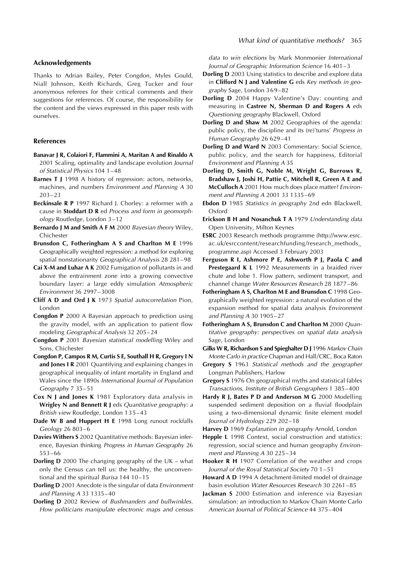Thanks to Adrian Bailey, Peter Congdon, Myles Gould, Niall Johnson, Keith Richards, Greg Tucker and four anonymous referees for their critical comments and their suggestions for references. Of course, the responsibility for the content and the views expressed in this paper rests with ourselves.

#### **References**

**Acknowledgements**

- **Banavar J R, Colaiori F, Flammini A, Maritan A and Rinaldo A** 2001 Scaling, optimality and landscape evolution *Journal of Statistical Physics* 104 1–48
- **Barnes T J** 1998 A history of regression: actors, networks, machines, and numbers *Environment and Planning A* 30 203–23
- **Beckinsale R P** 1997 Richard J. Chorley: a reformer with a cause in **Stoddart D R** ed *Process and form in geomorphology* Routledge, London 3–12
- **Bernardo J M and Smith A F M** 2000 *Bayesian theory* Wiley, Chichester
- **Brunsdon C, Fotheringham A S and Charlton M E** 1996 Geographically weighted regression: a method for exploring spatial nonstationarity *Geographical Analysis* 28 281–98
- **Cai X-M and Luhar A K** 2002 Fumigation of pollutants in and above the entrainment zone into a growing convective boundary layer: a large eddy simulation *Atmospheric Environment* 36 2997–3008
- **Cliff A D and Ord J K** 1973 *Spatial autocorrelation* Pion, London
- **Congdon P** 2000 A Bayesian approach to prediction using the gravity model, with an application to patient flow modeling *Geographical Analysis* 32 205–24
- **Congdon P** 2001 *Bayesian statistical modelling* Wiley and Sons, Chichester
- **Congdon P, Campos R M, Curtis S E, Southall H R, Gregory I N and Jones I R** 2001 Quantifying and explaining changes in geographical inequality of infant mortality in England and Wales since the 1890s *International Journal of Population Geography* 7 35–51
- **Cox N J and Jones K** 1981 Exploratory data analysis in **Wrigley N and Bennett R J** eds *Quantitative geography: a British view* Routledge, London 135–43
- **Dade W B and Huppert H E** 1998 Long runout rockfalls *Geology* 26 803–6
- **Davies Withers S** 2002 Quantitative methods: Bayesian inference, Bayesian thinking *Progress in Human Geography* 26 553–66
- **Dorling D** 2000 The changing geography of the UK what only the Census can tell us: the healthy, the unconventional and the spiritual *Burisa* 144 10–15
- **Dorling D** 2001 Anecdote is the singular of data *Environment and Planning A* 33 1335–40
- **Dorling D** 2002 Review of *Bushmanders and bullwinkles. How politicians manipulate electronic maps and census*

*data to win elections* by Mark Monmonier *International Journal of Geographic Information Science* 16 401–3

- **Dorling D** 2003 Using statistics to describe and explore data in **Clifford N J and Valentine G** eds *Key methods in geography* Sage, London 369–82
- **Dorling D** 2004 Happy Valentine's Day: counting and measuring in **Castree N, Sherman D and Rogers A** eds *Questioning geography* Blackwell, Oxford
- **Dorling D and Shaw M** 2002 Geographies of the agenda: public policy, the discipline and its (re)'turns' *Progress in Human Geography* 26 629–41
- **Dorling D and Ward N** 2003 Commentary: Social Science, public policy, and the search for happiness, Editorial *Environment and Planning A* 35
- **Dorling D, Smith G, Noble M, Wright G, Burrows R, Bradshaw J, Joshi H, Pattie C, Mitchell R, Green A E and McCulloch A** 2001 How much does place matter? *Environment and Planning A* 2001 33 1335–69
- **Ebdon D** 1985 *Statistics in geography* 2nd edn Blackwell, Oxford
- **Erickson B H and Nosanchuk T A** 1979 *Understanding data* Open University, Milton Keynes
- **ESRC** 2003 Research methods programme (http://www.esrc. ac.uk/esrccontent/researchfunding/research\_methods\_ programme.asp) Accessed 3 February 2003
- **Ferguson R I, Ashmore P E, Ashworth P J, Paola C and Prestegaard K L** 1992 Measurements in a braided river chute and lobe 1. Flow pattern, sediment transport, and channel change *Water Resources Research* 28 1877–86
- **Fotheringham A S, Charlton M E and Brunsdon C** 1998 Geographically weighted regression: a natural evolution of the expansion method for spatial data analysis *Environment and Planning A* 30 1905–27
- **Fotheringham A S, Brunsdon C and Charlton M** 2000 *Quantitative geography: perspectives on spatial data analysis* Sage, London
- **Gilks W R, Richardson S and Spieghalter D J** 1996 *Markov Chain Monte Carlo in practice* Chapman and Hall/CRC, Boca Raton
- **Gregory S** 1963 *Statistical methods and the geographer* Longman Publishers, Harlow
- **Gregory S** 1976 On geographical myths and statistical fables *Transactions, Institute of British Geographers* 1 385–400
- **Hardy R J, Bates P D and Anderson M G** 2000 Modelling suspended sediment deposition on a fluvial floodplain using a two-dimensional dynamic finite element model *Journal of Hydrology* 229 202–18

**Harvey D** 1969 *Explanation in geography* Arnold, London

- **Hepple L** 1998 Context, social construction and statistics: regression, social science and human geography *Environment and Planning A* 30 225–34
- **Hooker R H** 1907 Correlation of the weather and crops *Journal of the Royal Statistical Society* 70 1–51
- **Howard A D** 1994 A detachment-limited model of drainage basin evolution *Water Resources Research* 30 2261–85
- **Jackman S** 2000 Estimation and inference via Bayesian simulation: an introduction to Markov Chain Monte Carlo *American Journal of Political Science* 44 375–404